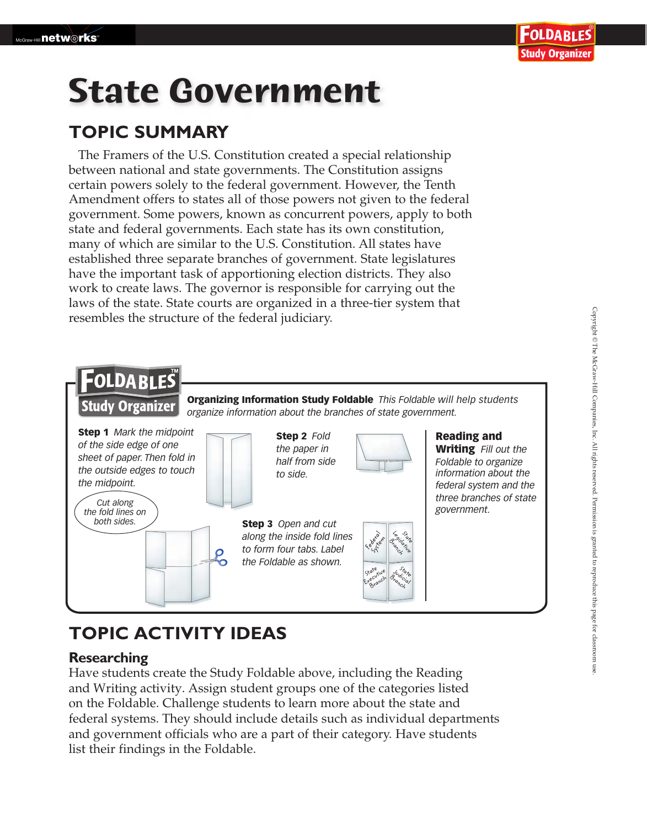# **State Government**

### **TOPIC SUMMARY**

The Framers of the U.S. Constitution created a special relationship between national and state governments. The Constitution assigns certain powers solely to the federal government. However, the Tenth Amendment offers to states all of those powers not given to the federal government. Some powers, known as concurrent powers, apply to both state and federal governments. Each state has its own constitution, many of which are similar to the U.S. Constitution. All states have established three separate branches of government. State legislatures have the important task of apportioning election districts. They also work to create laws. The governor is responsible for carrying out the laws of the state. State courts are organized in a three-tier system that resembles the structure of the federal judiciary.

#### FOLDABLES Organizing Information Study Foldable *This Foldable will help students* **Study Organizer** *organize information about the branches of state government.* Step 1 *Mark the midpoint* Reading and Step 2 *Fold of the side edge of one the paper in* Writing *Fill out the sheet of paper. Then fold in half from side Foldable to organize the outside edges to touch to side. information about the the midpoint. federal system and the three branches of state Cut along government. the fold lines on both sides.* Step 3 *Open and cut along the inside fold lines* Federal System Legislatie State Branch *to form four tabs. Label* Ο *the Foldable as shown.* State utilitie Branch Judicial

### **TOPIC ACTIVITY IDEAS**

#### **Researching**

Have students create the Study Foldable above, including the Reading and Writing activity. Assign student groups one of the categories listed on the Foldable. Challenge students to learn more about the state and federal systems. They should include details such as individual departments and government officials who are a part of their category. Have students list their findings in the Foldable.